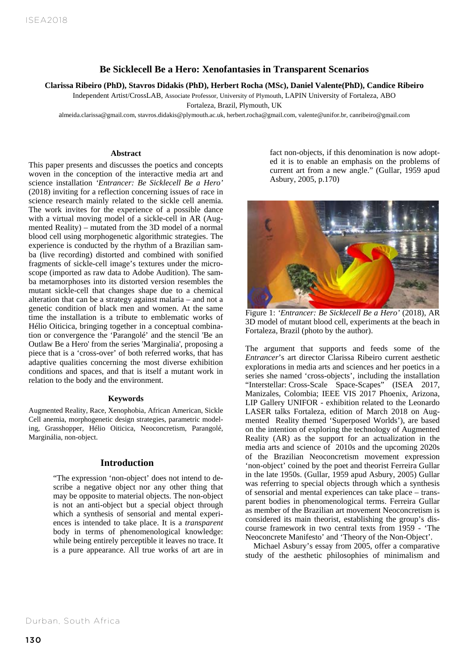### **Be Sicklecell Be a Hero: Xenofantasies in Transparent Scenarios**

**Clarissa Ribeiro (PhD), Stavros Didakis (PhD), Herbert Rocha (MSc), Daniel Valente(PhD), Candice Ribeiro**

Independent Artist/CrossLAB, Associate Professor, University of Plymouth, LAPIN University of Fortaleza, ABO

Fortaleza, Brazil, Plymouth, UK

almeida.clarissa@gmail.com, stavros.didakis@plymouth.ac.uk, herbert.rocha@gmail.com, valente@unifor.br, canribeiro@gmail.com

#### **Abstract**

**Bexperience is conducted by the rhythm of a Brazilian sam-**Herbert Rocha, Daniel Valente, Stavros Didakis, Candidac Ribeiro, Candidac Ribeiro, Candidac Ribeiro, Candidac Ribeiro, Candidac Ribeiro, Candidac Ribeiro, Candidac Ribeiro, Candidac Ribeiro, Candidac Ribeiro, Candidac Rib This paper presents and discusses the poetics and concepts woven in the conception of the interactive media art and science installation *'Entrancer: Be Sicklecell Be a Hero'* (2018) inviting for a reflection concerning issues of race in science research mainly related to the sickle cell anemia. The work invites for the experience of a possible dance with a virtual moving model of a sickle-cell in AR (Augmented Reality) – mutated from the 3D model of a normal blood cell using morphogenetic algorithmic strategies. The ba (live recording) distorted and combined with sonified scope (imported as raw data to Adobe Audition). The samba metamorphoses into its distorted version resembles the mutant sickle-cell that changes shape due to a chemical alteration that can be a strategy against malaria – and not a genetic condition of black men and women. At the same time the installation is a tribute to emblematic works of Hélio Oiticica, bringing together in a conceptual combination or convergence the 'Parangolé' and the stencil 'Be an Outlaw Be a Hero' from the series 'Marginalia', proposing a piece that is a 'cross-over' of both referred works, that has adaptive qualities concerning the most diverse exhibition conditions and spaces, and that is itself a mutant work in relation to the body and the environment.

#### **Keywords**

Augmented Reality, Race, Xenophobia, African American, Sickle Cell anemia, morphogenetic design strategies, parametric modeling, Grasshopper, Hélio Oiticica, Neoconcretism, Parangolé, Marginália, non-object.

#### **Introduction**

"The expression 'non-object' does not intend to describe a negative object nor any other thing that may be opposite to material objects. The non-object is not an anti-object but a special object through which a synthesis of sensorial and mental experiences is intended to take place. It is a *transparent* body in terms of phenomenological knowledge: while being entirely perceptible it leaves no trace. It is a pure appearance. All true works of art are in fact non-objects, if this denomination is now adopted it is to enable an emphasis on the problems of current art from a new angle." (Gullar, 1959 apud Asbury, 2005, p.170)



Figure 1: *'Entrancer: Be Sicklecell Be a Hero'* (2018), AR 3D model of mutant blood cell, experiments at the beach in Fortaleza, Brazil (photo by the author).

The argument that supports and feeds some of the *Entrancer*'s art director Clarissa Ribeiro current aesthetic explorations in media arts and sciences and her poetics in a series she named 'cross-objects', including the installation "Interstellar: Cross-Scale Space-Scapes" (ISEA 2017, Manizales, Colombia; IEEE VIS 2017 Phoenix, Arizona, LIP Gallery UNIFOR - exhibition related to the Leonardo LASER talks Fortaleza, edition of March 2018 on Augmented Reality themed 'Superposed Worlds'), are based on the intention of exploring the technology of Augmented Reality (AR) as the support for an actualization in the media arts and science of 2010s and the upcoming 2020s of the Brazilian Neoconcretism movement expression 'non-object' coined by the poet and theorist Ferreira Gullar in the late 1950s. (Gullar, 1959 apud Asbury, 2005) Gullar was referring to special objects through which a synthesis of sensorial and mental experiences can take place – transparent bodies in phenomenological terms. Ferreira Gullar as member of the Brazilian art movement Neoconcretism is considered its main theorist, establishing the group's discourse framework in two central texts from 1959 - 'The Neoconcrete Manifesto' and 'Theory of the Non-Object'.

Michael Asbury's essay from 2005, offer a comparative study of the aesthetic philosophies of minimalism and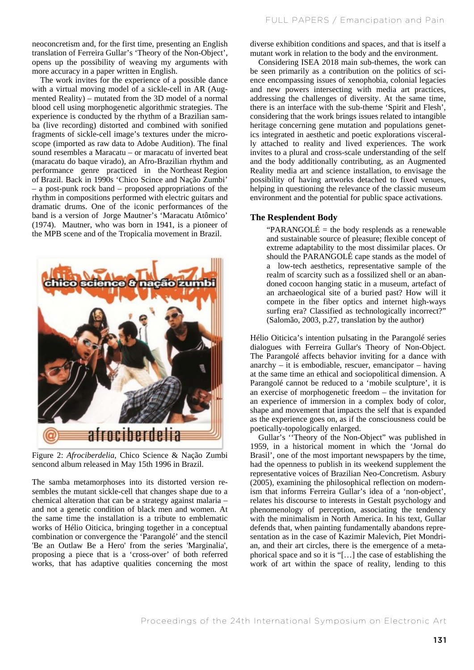neoconcretism and, for the first time, presenting an English translation of Ferreira Gullar's 'Theory of the Non-Object', opens up the possibility of weaving my arguments with more accuracy in a paper written in English.

The work invites for the experience of a possible dance with a virtual moving model of a sickle-cell in AR (Augmented Reality) – mutated from the 3D model of a normal blood cell using morphogenetic algorithmic strategies. The experience is conducted by the rhythm of a Brazilian samba (live recording) distorted and combined with sonified fragments of sickle-cell image's textures under the microscope (imported as raw data to Adobe Audition). The final sound resembles a Maracatu – or maracatu of inverted beat (maracatu do baque virado), an Afro-Brazilian rhythm and performance genre practiced in the Northeast Region of Brazil. Back in 1990s 'Chico Scince and Nação Zumbi' – a post-punk rock band – proposed appropriations of the rhythm in compositions performed with electric guitars and dramatic drums. One of the iconic performances of the band is a version of Jorge Mautner's 'Maracatu Atômico' (1974). Mautner, who was born in 1941, is a pioneer of the MPB scene and of the Tropicalia movement in Brazil.



Figure 2: *Afrociberdelia*, Chico Science & Nação Zumbi sencond album released in May 15th 1996 in Brazil.

The samba metamorphoses into its distorted version resembles the mutant sickle-cell that changes shape due to a chemical alteration that can be a strategy against malaria – and not a genetic condition of black men and women. At the same time the installation is a tribute to emblematic works of Hélio Oiticica, bringing together in a conceptual combination or convergence the 'Parangolé' and the stencil 'Be an Outlaw Be a Hero' from the series 'Marginalia', proposing a piece that is a 'cross-over' of both referred works, that has adaptive qualities concerning the most diverse exhibition conditions and spaces, and that is itself a mutant work in relation to the body and the environment.

Considering ISEA 2018 main sub-themes, the work can be seen primarily as a contribution on the politics of science encompassing issues of xenophobia, colonial legacies and new powers intersecting with media art practices, addressing the challenges of diversity. At the same time, there is an interface with the sub-theme 'Spirit and Flesh', considering that the work brings issues related to intangible heritage concerning gene mutation and populations genetics integrated in aesthetic and poetic explorations viscerally attached to reality and lived experiences. The work invites to a plural and cross-scale understanding of the self and the body additionally contributing, as an Augmented Reality media art and science installation, to envisage the possibility of having artworks detached to fixed venues, helping in questioning the relevance of the classic museum environment and the potential for public space activations.

#### **The Resplendent Body**

"PARANGOLÉ = the body resplends as a renewable" and sustainable source of pleasure; flexible concept of extreme adaptability to the most dissimilar places. Or should the PARANGOLÉ cape stands as the model of a low-tech aesthetics, representative sample of the realm of scarcity such as a fossilized shell or an abandoned cocoon hanging static in a museum, artefact of an archaeological site of a buried past? How will it compete in the fiber optics and internet high-ways surfing era? Classified as technologically incorrect?" (Salomão, 2003, p.27, translation by the author)

Hélio Oiticica's intention pulsating in the Parangolé series dialogues with Ferreira Gullar's Theory of Non-Object. The Parangolé affects behavior inviting for a dance with anarchy – it is embodiable, rescuer, emancipator – having at the same time an ethical and sociopolitical dimension. A Parangolé cannot be reduced to a 'mobile sculpture', it is an exercise of morphogenetic freedom – the invitation for an experience of immersion in a complex body of color, shape and movement that impacts the self that is expanded as the experience goes on, as if the consciousness could be poetically-topologically enlarged.

Gullar's ''Theory of the Non-Object" was published in 1959, in a historical moment in which the 'Jornal do Brasil', one of the most important newspapers by the time, had the openness to publish in its weekend supplement the representative voices of Brazilian Neo-Concretism. Asbury (2005), examining the philosophical reflection on modernism that informs Ferreira Gullar's idea of a 'non-object', relates his discourse to interests in Gestalt psychology and phenomenology of perception, associating the tendency with the minimalism in North America. In his text, Gullar defends that, when painting fundamentally abandons representation as in the case of Kazimir Malevich, Piet Mondrian, and their art circles, there is the emergence of a metaphorical space and so it is "[…] the case of establishing the work of art within the space of reality, lending to this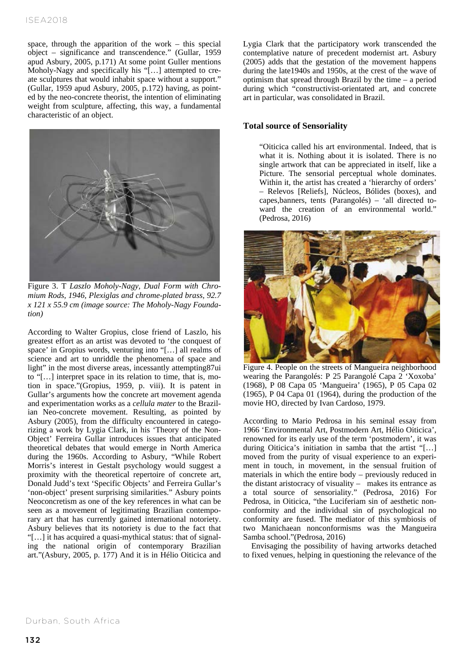## ISEA2018

space, through the apparition of the work – this special object – significance and transcendence." (Gullar, 1959 apud Asbury, 2005, p.171) At some point Guller mentions Moholy-Nagy and specifically his "[...] attempted to create sculptures that would inhabit space without a support." (Gullar, 1959 apud Asbury, 2005, p.172) having, as pointed by the neo-concrete theorist, the intention of eliminating weight from sculpture, affecting, this way, a fundamental characteristic of an object.



Figure 3. T *Laszlo Moholy-Nagy, Dual Form with Chromium Rods, 1946, Plexiglas and chrome-plated brass, 92.7 x 121 x 55.9 cm (image source: The Moholy-Nagy Foundation)*

According to Walter Gropius, close friend of Laszlo, his greatest effort as an artist was devoted to 'the conquest of space' in Gropius words, venturing into "[…] all realms of science and art to unriddle the phenomena of space and light" in the most diverse areas, incessantly attempting87ui to "[…] interpret space in its relation to time, that is, motion in space."(Gropius, 1959, p. viii). It is patent in Gullar's arguments how the concrete art movement agenda and experimentation works as a *cellula mater* to the Brazilian Neo-concrete movement. Resulting, as pointed by Asbury (2005), from the difficulty encountered in categorizing a work by Lygia Clark, in his 'Theory of the Non-Object' Ferreira Gullar introduces issues that anticipated theoretical debates that would emerge in North America during the 1960s. According to Asbury, "While Robert Morris's interest in Gestalt psychology would suggest a proximity with the theoretical repertoire of concrete art, Donald Judd's text 'Specific Objects' and Ferreira Gullar's 'non-object' present surprising similarities." Asbury points Neoconcretism as one of the key references in what can be seen as a movement of legitimating Brazilian contemporary art that has currently gained international notoriety. Asbury believes that its notoriety is due to the fact that "[…] it has acquired a quasi-mythical status: that of signaling the national origin of contemporary Brazilian art."(Asbury, 2005, p. 177) And it is in Hélio Oiticica and

Lygia Clark that the participatory work transcended the contemplative nature of precedent modernist art. Asbury (2005) adds that the gestation of the movement happens during the late1940s and 1950s, at the crest of the wave of optimism that spread through Brazil by the time – a period during which "constructivist-orientated art, and concrete art in particular, was consolidated in Brazil.

### **Total source of Sensoriality**

"Oiticica called his art environmental. Indeed, that is what it is. Nothing about it is isolated. There is no single artwork that can be appreciated in itself, like a Picture. The sensorial perceptual whole dominates. Within it, the artist has created a 'hierarchy of orders' – Relevos [Reliefs], Núcleos, Bólides (boxes), and capes,banners, tents (Parangolés) – 'all directed toward the creation of an environmental world." (Pedrosa, 2016)



Figure 4. People on the streets of Mangueira neighborhood wearing the Parangolés: P 25 Parangolé Capa 2 'Xoxoba' (1968), P 08 Capa 05 'Mangueira' (1965), P 05 Capa 02 (1965), P 04 Capa 01 (1964), during the production of the movie HO, directed by Ivan Cardoso, 1979.

According to Mario Pedrosa in his seminal essay from 1966 'Environmental Art, Postmodern Art, Hélio Oiticica', renowned for its early use of the term 'postmodern', it was during Oiticica's initiation in samba that the artist "[…] moved from the purity of visual experience to an experiment in touch, in movement, in the sensual fruition of materials in which the entire body – previously reduced in the distant aristocracy of visuality – makes its entrance as a total source of sensoriality." (Pedrosa, 2016) For Pedrosa, in Oiticica, "the Luciferiam sin of aesthetic nonconformity and the individual sin of psychological no conformity are fused. The mediator of this symbiosis of two Manichaean nonconformisms was the Mangueira Samba school."(Pedrosa, 2016)

Envisaging the possibility of having artworks detached to fixed venues, helping in questioning the relevance of the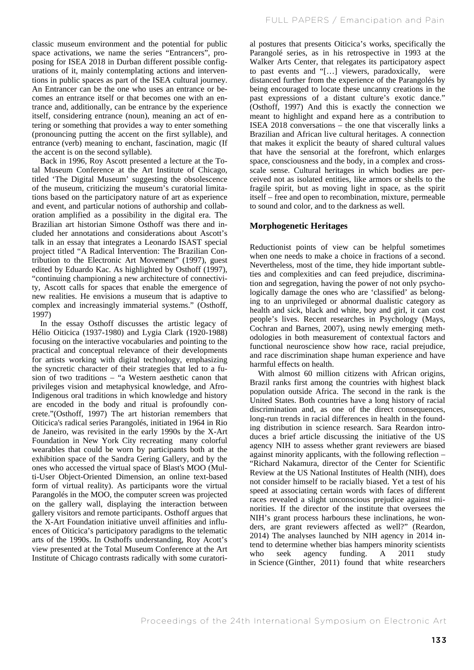classic museum environment and the potential for public space activations, we name the series "Entrancers", proposing for ISEA 2018 in Durban different possible configurations of it, mainly contemplating actions and interventions in public spaces as part of the ISEA cultural journey. An Entrancer can be the one who uses an entrance or becomes an entrance itself or that becomes one with an entrance and, additionally, can be entrance by the experience itself, considering entrance (noun), meaning an act of entering or something that provides a way to enter something (pronouncing putting the accent on the first syllable), and entrance (verb) meaning to enchant, fascination, magic (If the accent is on the second syllable).

Back in 1996, Roy Ascott presented a lecture at the Total Museum Conference at the Art Institute of Chicago, titled 'The Digital Museum' suggesting the obsolescence of the museum, criticizing the museum's curatorial limitations based on the participatory nature of art as experience and event, and particular notions of authorship and collaboration amplified as a possibility in the digital era. The Brazilian art historian Simone Osthoff was there and included her annotations and considerations about Ascott's talk in an essay that integrates a Leonardo ISAST special project titled "A Radical Intervention: The Brazilian Contribution to the Electronic Art Movement" (1997), guest edited by Eduardo Kac. As highlighted by Osthoff (1997), "continuing championing a new architecture of connectivity, Ascott calls for spaces that enable the emergence of new realities. He envisions a museum that is adaptive to complex and increasingly immaterial systems." (Osthoff, 1997)

In the essay Osthoff discusses the artistic legacy of Hélio Oiticica (1937-1980) and Lygia Clark (1920-1988) focusing on the interactive vocabularies and pointing to the practical and conceptual relevance of their developments for artists working with digital technology, emphasizing the syncretic character of their strategies that led to a fusion of two traditions – "a Western aesthetic canon that privileges vision and metaphysical knowledge, and Afro-Indigenous oral traditions in which knowledge and history are encoded in the body and ritual is profoundly concrete."(Osthoff, 1997) The art historian remembers that Oiticica's radical series Parangolés, initiated in 1964 in Rio de Janeiro, was revisited in the early 1990s by the X-Art Foundation in New York City recreating many colorful wearables that could be worn by participants both at the exhibition space of the Sandra Gering Gallery, and by the ones who accessed the virtual space of Blast's MOO (Multi-User Object-Oriented Dimension, an online text-based form of virtual reality). As participants wore the virtual Parangolés in the MOO, the computer screen was projected on the gallery wall, displaying the interaction between gallery visitors and remote participants. Osthoff argues that the X-Art Foundation initiative unveil affinities and influences of Oiticica's participatory paradigms to the telematic arts of the 1990s. In Osthoffs understanding, Roy Acott's view presented at the Total Museum Conference at the Art Institute of Chicago contrasts radically with some curatorial postures that presents Oiticica's works, specifically the Parangolé series, as in his retrospective in 1993 at the Walker Arts Center, that relegates its participatory aspect to past events and "[…] viewers, paradoxically, were distanced further from the experience of the Parangolés by being encouraged to locate these uncanny creations in the past expressions of a distant culture's exotic dance." (Osthoff, 1997) And this is exactly the connection we meant to highlight and expand here as a contribution to ISEA 2018 conversations – the one that viscerally links a Brazilian and African live cultural heritages. A connection that makes it explicit the beauty of shared cultural values that have the sensorial at the forefront, which enlarges space, consciousness and the body, in a complex and crossscale sense. Cultural heritages in which bodies are perceived not as isolated entities, like armors or shells to the fragile spirit, but as moving light in space, as the spirit itself – free and open to recombination, mixture, permeable to sound and color, and to the darkness as well.

### **Morphogenetic Heritages**

Reductionist points of view can be helpful sometimes when one needs to make a choice in fractions of a second. Nevertheless, most of the time, they hide important subtleties and complexities and can feed prejudice, discrimination and segregation, having the power of not only psychologically damage the ones who are 'classified' as belonging to an unprivileged or abnormal dualistic category as health and sick, black and white, boy and girl, it can cost people's lives. Recent researches in Psychology (Mays, Cochran and Barnes, 2007), using newly emerging methodologies in both measurement of contextual factors and functional neuroscience show how race, racial prejudice, and race discrimination shape human experience and have harmful effects on health.

With almost 60 million citizens with African origins. Brazil ranks first among the countries with highest black population outside Africa. The second in the rank is the United States. Both countries have a long history of racial discrimination and, as one of the direct consequences, long-run trends in racial differences in health in the founding distribution in science research. Sara Reardon introduces a brief article discussing the initiative of the US agency NIH to assess whether grant reviewers are biased against minority applicants, with the following reflection – "Richard Nakamura, director of the Center for Scientific Review at the US National Institutes of Health (NIH), does not consider himself to be racially biased. Yet a test of his speed at associating certain words with faces of different races revealed a slight unconscious prejudice against minorities. If the director of the institute that oversees the NIH's grant process harbours these inclinations, he wonders, are grant reviewers affected as well?" (Reardon, 2014) The analyses launched by NIH agency in 2014 intend to determine whether bias hampers minority scientists who seek agency funding. A 2011 study in Science (Ginther, 2011) found that white researchers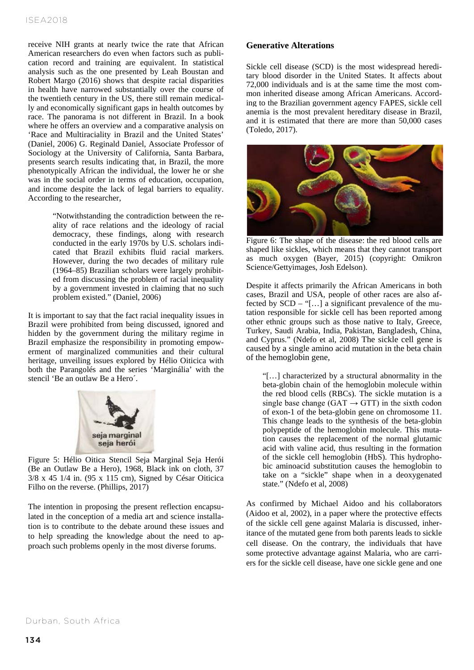receive NIH grants at nearly twice the rate that African American researchers do even when factors such as publication record and training are equivalent. In statistical analysis such as the one presented by Leah Boustan and Robert Margo (2016) shows that despite racial disparities in health have narrowed substantially over the course of the twentieth century in the US, there still remain medically and economically significant gaps in health outcomes by race. The panorama is not different in Brazil. In a book where he offers an overview and a comparative analysis on 'Race and Multiraciality in Brazil and the United States' (Daniel, 2006) G. Reginald Daniel, Associate Professor of Sociology at the University of California, Santa Barbara, presents search results indicating that, in Brazil, the more phenotypically African the individual, the lower he or she was in the social order in terms of education, occupation, and income despite the lack of legal barriers to equality. According to the researcher,

> "Notwithstanding the contradiction between the reality of race relations and the ideology of racial democracy, these findings, along with research conducted in the early 1970s by U.S. scholars indicated that Brazil exhibits fluid racial markers. However, during the two decades of military rule (1964–85) Brazilian scholars were largely prohibited from discussing the problem of racial inequality by a government invested in claiming that no such problem existed." (Daniel, 2006)

It is important to say that the fact racial inequality issues in Brazil were prohibited from being discussed, ignored and hidden by the government during the military regime in Brazil emphasize the responsibility in promoting empowerment of marginalized communities and their cultural heritage, unveiling issues explored by Hélio Oiticica with both the Parangolés and the series 'Marginália' with the stencil 'Be an outlaw Be a Hero´.



Figure 5: Hélio Oitica Stencil Seja Marginal Seja Herói (Be an Outlaw Be a Hero), 1968, Black ink on cloth, 37 3/8 x 45 1/4 in. (95 x 115 cm), Signed by César Oiticica Filho on the reverse. (Phillips, 2017)

The intention in proposing the present reflection encapsulated in the conception of a media art and science installation is to contribute to the debate around these issues and to help spreading the knowledge about the need to approach such problems openly in the most diverse forums.

### **Generative Alterations**

Sickle cell disease (SCD) is the most widespread hereditary blood disorder in the United States. It affects about 72,000 individuals and is at the same time the most common inherited disease among African Americans. According to the Brazilian government agency FAPES, sickle cell anemia is the most prevalent hereditary disease in Brazil, and it is estimated that there are more than 50,000 cases (Toledo, 2017).



Figure 6: The shape of the disease: the red blood cells are shaped like sickles, which means that they cannot transport as much oxygen (Bayer, 2015) (copyright: Omikron Science/Gettyimages, Josh Edelson).

Despite it affects primarily the African Americans in both cases, Brazil and USA, people of other races are also affected by SCD – "[…] a significant prevalence of the mutation responsible for sickle cell has been reported among other ethnic groups such as those native to Italy, Greece, Turkey, Saudi Arabia, India, Pakistan, Bangladesh, China, and Cyprus." (Ndefo et al, 2008) The sickle cell gene is caused by a single amino acid mutation in the beta chain of the hemoglobin gene,

"[…] characterized by a structural abnormality in the beta-globin chain of the hemoglobin molecule within the red blood cells (RBCs). The sickle mutation is a single base change (GAT  $\rightarrow$  GTT) in the sixth codon of exon-1 of the beta-globin gene on chromosome 11. This change leads to the synthesis of the beta-globin polypeptide of the hemoglobin molecule. This mutation causes the replacement of the normal glutamic acid with valine acid, thus resulting in the formation of the sickle cell hemoglobin (HbS). This hydrophobic aminoacid substitution causes the hemoglobin to take on a "sickle" shape when in a deoxygenated state." (Ndefo et al, 2008)

As confirmed by Michael Aidoo and his collaborators (Aidoo et al, 2002), in a paper where the protective effects of the sickle cell gene against Malaria is discussed, inheritance of the mutated gene from both parents leads to sickle cell disease. On the contrary, the individuals that have some protective advantage against Malaria, who are carriers for the sickle cell disease, have one sickle gene and one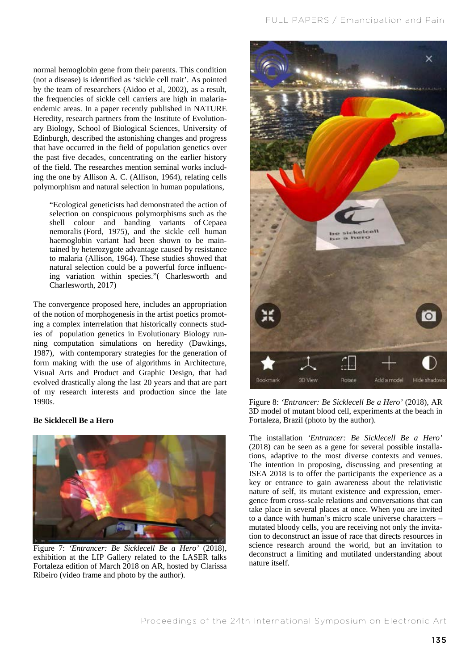normal hemoglobin gene from their parents. This condition (not a disease) is identified as 'sickle cell trait'. As pointed by the team of researchers (Aidoo et al, 2002), as a result, the frequencies of sickle cell carriers are high in malariaendemic areas. In a paper recently published in NATURE Heredity, research partners from the Institute of Evolutionary Biology, School of Biological Sciences, University of Edinburgh, described the astonishing changes and progress that have occurred in the field of population genetics over the past five decades, concentrating on the earlier history of the field. The researches mention seminal works including the one by Allison A. C. (Allison, 1964), relating cells polymorphism and natural selection in human populations,

"Ecological geneticists had demonstrated the action of selection on conspicuous polymorphisms such as the shell colour and banding variants of Cepaea nemoralis (Ford, 1975), and the sickle cell human haemoglobin variant had been shown to be maintained by heterozygote advantage caused by resistance to malaria (Allison, 1964). These studies showed that natural selection could be a powerful force influencing variation within species."( Charlesworth and Charlesworth, 2017)

The convergence proposed here, includes an appropriation of the notion of morphogenesis in the artist poetics promoting a complex interrelation that historically connects studies of population genetics in Evolutionary Biology running computation simulations on heredity (Dawkings, 1987), with contemporary strategies for the generation of form making with the use of algorithms in Architecture, Visual Arts and Product and Graphic Design, that had evolved drastically along the last 20 years and that are part of my research interests and production since the late 1990s.

### **Be Sicklecell Be a Hero**



Figure 7: *'Entrancer: Be Sicklecell Be a Hero'* (2018), exhibition at the LIP Gallery related to the LASER talks Fortaleza edition of March 2018 on AR, hosted by Clarissa Ribeiro (video frame and photo by the author).



Figure 8: *'Entrancer: Be Sicklecell Be a Hero'* (2018), AR 3D model of mutant blood cell, experiments at the beach in Fortaleza, Brazil (photo by the author).

The installation *'Entrancer: Be Sicklecell Be a Hero'* (2018) can be seen as a gene for several possible installations, adaptive to the most diverse contexts and venues. The intention in proposing, discussing and presenting at ISEA 2018 is to offer the participants the experience as a key or entrance to gain awareness about the relativistic nature of self, its mutant existence and expression, emergence from cross-scale relations and conversations that can take place in several places at once. When you are invited to a dance with human's micro scale universe characters – mutated bloody cells, you are receiving not only the invitation to deconstruct an issue of race that directs resources in science research around the world, but an invitation to deconstruct a limiting and mutilated understanding about nature itself.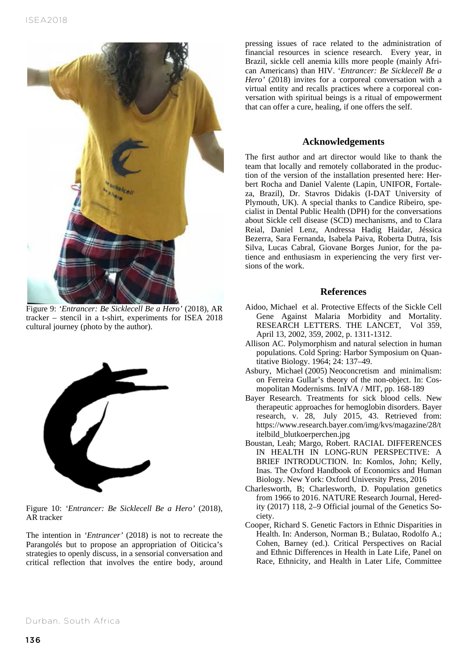

Figure 9: *'Entrancer: Be Sicklecell Be a Hero'* (2018), AR tracker – stencil in a t-shirt, experiments for ISEA 2018 cultural journey (photo by the author).



Figure 10: *'Entrancer: Be Sicklecell Be a Hero'* (2018), AR tracker

The intention in *'Entrancer'* (2018) is not to recreate the Parangolés but to propose an appropriation of Oiticica's strategies to openly discuss, in a sensorial conversation and critical reflection that involves the entire body, around pressing issues of race related to the administration of financial resources in science research. Every year, in Brazil, sickle cell anemia kills more people (mainly African Americans) than HIV. '*Entrancer: Be Sicklecell Be a Hero'* (2018) invites for a corporeal conversation with a virtual entity and recalls practices where a corporeal conversation with spiritual beings is a ritual of empowerment that can offer a cure, healing, if one offers the self.

### **Acknowledgements**

The first author and art director would like to thank the team that locally and remotely collaborated in the production of the version of the installation presented here: Herbert Rocha and Daniel Valente (Lapin, UNIFOR, Fortaleza, Brazil), Dr. Stavros Didakis (I-DAT University of Plymouth, UK). A special thanks to Candice Ribeiro, specialist in Dental Public Health (DPH) for the conversations about Sickle cell disease (SCD) mechanisms, and to Clara Reial, Daniel Lenz, Andressa Hadig Haidar, Jéssica Bezerra, Sara Fernanda, Isabela Paiva, Roberta Dutra, Isis Silva, Lucas Cabral, Giovane Borges Junior, for the patience and enthusiasm in experiencing the very first versions of the work.

# **References**

- Aidoo, Michael et al. Protective Effects of the Sickle Cell Gene Against Malaria Morbidity and Mortality. RESEARCH LETTERS. THE LANCET, Vol 359, April 13, 2002, 359, 2002, p. 1311-1312.
- Allison AC. Polymorphism and natural selection in human populations. Cold Spring: Harbor Symposium on Quantitative Biology. 1964; 24: 137–49.
- Asbury, Michael (2005) Neoconcretism and minimalism: on Ferreira Gullar's theory of the non-object. In: Cosmopolitan Modernisms. InIVA / MIT, pp. 168-189
- Bayer Research. Treatments for sick blood cells. New therapeutic approaches for hemoglobin disorders. Bayer research, v. 28, July 2015, 43. Retrieved from: https://www.research.bayer.com/img/kvs/magazine/28/t itelbild\_blutkoerperchen.jpg
- Boustan, Leah; Margo, Robert. RACIAL DIFFERENCES IN HEALTH IN LONG-RUN PERSPECTIVE: A BRIEF INTRODUCTION. In: Komlos, John; Kelly, Inas. The Oxford Handbook of Economics and Human Biology. New York: Oxford University Press, 2016
- Charlesworth, B; Charlesworth, D. Population genetics from 1966 to 2016. NATURE Research Journal, Heredity (2017) 118, 2–9 Official journal of the Genetics Society.
- Cooper, Richard S. Genetic Factors in Ethnic Disparities in Health. In: Anderson, Norman B.; Bulatao, Rodolfo A.; Cohen, Barney (ed.). Critical Perspectives on Racial and Ethnic Differences in Health in Late Life, Panel on Race, Ethnicity, and Health in Later Life, Committee